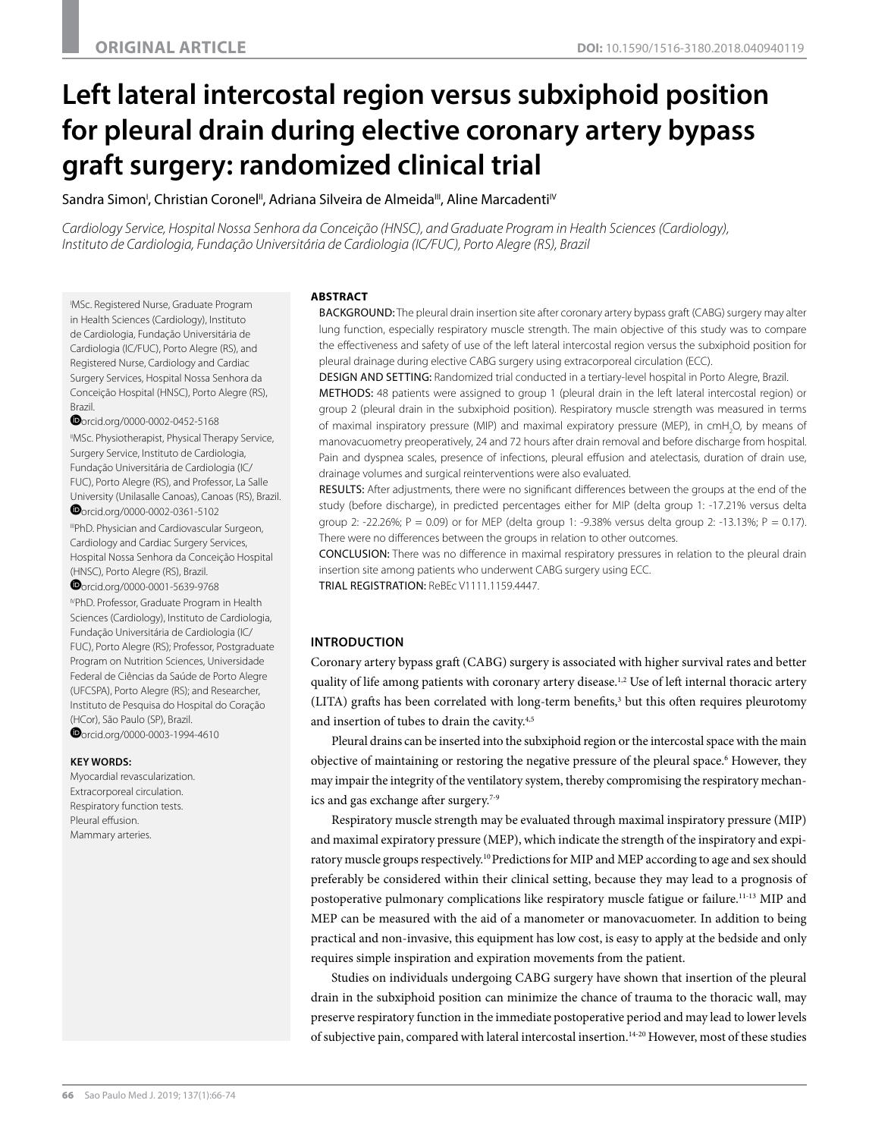# **Left lateral intercostal region versus subxiphoid position for pleural drain during elective coronary artery bypass graft surgery: randomized clinical trial**

Sandra Simon', Christian Coronel", Adriana Silveira de Almeida'", Aline Marcadenti<sup>iv</sup>

*Cardiology Service, Hospital Nossa Senhora da Conceição (HNSC), and Graduate Program in Health Sciences (Cardiology), Instituto de Cardiologia, Fundação Universitária de Cardiologia (IC/FUC), Porto Alegre (RS), Brazil*

I MSc. Registered Nurse, Graduate Program in Health Sciences (Cardiology), Instituto de Cardiologia, Fundação Universitária de Cardiologia (IC/FUC), Porto Alegre (RS), and Registered Nurse, Cardiology and Cardiac Surgery Services, Hospital Nossa Senhora da Conceição Hospital (HNSC), Porto Alegre (RS), Brazil.

**O**[o](http://orcid.org/0000-0002-0452-5168)rcid.org/0000-0002-0452-5168

"MSc. Physiotherapist, Physical Therapy Service, Surgery Service, Instituto de Cardiologia, Fundação Universitária de Cardiologia (IC/ FUC), Porto Alegre (RS), and Professor, La Salle [Uni](http://orcid.org/0000-0002-0361-5102)versity (Unilasalle Canoas), Canoas (RS), Brazil. orcid.org/0000-0002-0361-5102 IIIPhD. Physician and Cardiovascular Surgeon, Cardiology and Cardiac Surgery Services, Hospital Nossa Senhora da Conceição Hospital (HNSC), Porto Alegre (RS), Brazil. [o](http://orcid.org/0000-0001-5639-9768)rcid.org/0000-0001-5639-9768

IVPhD. Professor, Graduate Program in Health Sciences (Cardiology), Instituto de Cardiologia, Fundação Universitária de Cardiologia (IC/ FUC), Porto Alegre (RS); Professor, Postgraduate Program on Nutrition Sciences, Universidade Federal de Ciências da Saúde de Porto Alegre (UFCSPA), Porto Alegre (RS); and Researcher, Instituto de Pesquisa do Hospital do Coração [\(HC](http://orcid.org/0000-0003-1994-4610)or), São Paulo (SP), Brazil. **O**orcid.org/0000-0003-1994-4610

#### **KEY WORDS:**

Myocardial revascularization. Extracorporeal circulation. Respiratory function tests. Pleural effusion. Mammary arteries.

#### **ABSTRACT**

BACKGROUND: The pleural drain insertion site after coronary artery bypass graft (CABG) surgery may alter lung function, especially respiratory muscle strength. The main objective of this study was to compare the effectiveness and safety of use of the left lateral intercostal region versus the subxiphoid position for pleural drainage during elective CABG surgery using extracorporeal circulation (ECC).

DESIGN AND SETTING: Randomized trial conducted in a tertiary-level hospital in Porto Alegre, Brazil.

METHODS: 48 patients were assigned to group 1 (pleural drain in the left lateral intercostal region) or group 2 (pleural drain in the subxiphoid position). Respiratory muscle strength was measured in terms of maximal inspiratory pressure (MIP) and maximal expiratory pressure (MEP), in cmH<sub>2</sub>O, by means of manovacuometry preoperatively, 24 and 72 hours after drain removal and before discharge from hospital. Pain and dyspnea scales, presence of infections, pleural effusion and atelectasis, duration of drain use, drainage volumes and surgical reinterventions were also evaluated.

RESULTS: After adjustments, there were no significant differences between the groups at the end of the study (before discharge), in predicted percentages either for MIP (delta group 1: -17.21% versus delta group 2: -22.26%; P = 0.09) or for MEP (delta group 1: -9.38% versus delta group 2: -13.13%; P = 0.17). There were no differences between the groups in relation to other outcomes.

CONCLUSION: There was no difference in maximal respiratory pressures in relation to the pleural drain insertion site among patients who underwent CABG surgery using ECC. TRIAL REGISTRATION: ReBEc V1111.1159.4447.

# **INTRODUCTION**

Coronary artery bypass graft (CABG) surgery is associated with higher survival rates and better quality of life among patients with coronary artery disease.<sup>1,2</sup> Use of left internal thoracic artery (LITA) grafts has been correlated with long-term benefits,3 but this often requires pleurotomy and insertion of tubes to drain the cavity.<sup>4,5</sup>

Pleural drains can be inserted into the subxiphoid region or the intercostal space with the main objective of maintaining or restoring the negative pressure of the pleural space.<sup>6</sup> However, they may impair the integrity of the ventilatory system, thereby compromising the respiratory mechanics and gas exchange after surgery.7-9

Respiratory muscle strength may be evaluated through maximal inspiratory pressure (MIP) and maximal expiratory pressure (MEP), which indicate the strength of the inspiratory and expiratory muscle groups respectively.10 Predictions for MIP and MEP according to age and sex should preferably be considered within their clinical setting, because they may lead to a prognosis of postoperative pulmonary complications like respiratory muscle fatigue or failure.11-13 MIP and MEP can be measured with the aid of a manometer or manovacuometer. In addition to being practical and non-invasive, this equipment has low cost, is easy to apply at the bedside and only requires simple inspiration and expiration movements from the patient.

Studies on individuals undergoing CABG surgery have shown that insertion of the pleural drain in the subxiphoid position can minimize the chance of trauma to the thoracic wall, may preserve respiratory function in the immediate postoperative period and may lead to lower levels of subjective pain, compared with lateral intercostal insertion.<sup>14-20</sup> However, most of these studies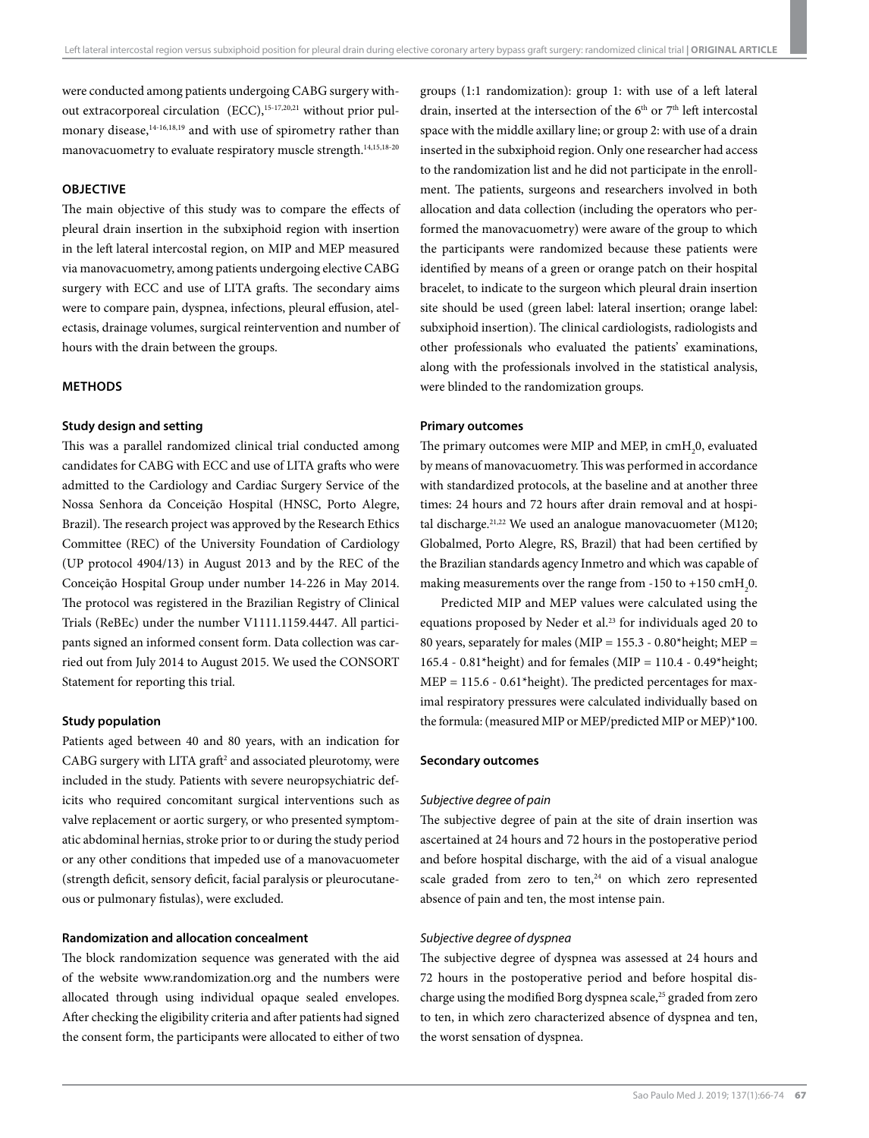were conducted among patients undergoing CABG surgery without extracorporeal circulation  $(ECC)$ ,  $15-17,20,21$  without prior pulmonary disease,<sup>14-16,18,19</sup> and with use of spirometry rather than manovacuometry to evaluate respiratory muscle strength.14,15,18-20

#### **OBJECTIVE**

The main objective of this study was to compare the effects of pleural drain insertion in the subxiphoid region with insertion in the left lateral intercostal region, on MIP and MEP measured via manovacuometry, among patients undergoing elective CABG surgery with ECC and use of LITA grafts. The secondary aims were to compare pain, dyspnea, infections, pleural effusion, atelectasis, drainage volumes, surgical reintervention and number of hours with the drain between the groups.

# **METHODS**

# **Study design and setting**

This was a parallel randomized clinical trial conducted among candidates for CABG with ECC and use of LITA grafts who were admitted to the Cardiology and Cardiac Surgery Service of the Nossa Senhora da Conceição Hospital (HNSC, Porto Alegre, Brazil). The research project was approved by the Research Ethics Committee (REC) of the University Foundation of Cardiology (UP protocol 4904/13) in August 2013 and by the REC of the Conceição Hospital Group under number 14-226 in May 2014. The protocol was registered in the Brazilian Registry of Clinical Trials (ReBEc) under the number V1111.1159.4447. All participants signed an informed consent form. Data collection was carried out from July 2014 to August 2015. We used the CONSORT Statement for reporting this trial.

## **Study population**

Patients aged between 40 and 80 years, with an indication for  $CABG$  surgery with LITA graft<sup>2</sup> and associated pleurotomy, were included in the study. Patients with severe neuropsychiatric deficits who required concomitant surgical interventions such as valve replacement or aortic surgery, or who presented symptomatic abdominal hernias, stroke prior to or during the study period or any other conditions that impeded use of a manovacuometer (strength deficit, sensory deficit, facial paralysis or pleurocutaneous or pulmonary fistulas), were excluded.

## **Randomization and allocation concealment**

The block randomization sequence was generated with the aid of the website www.randomization.org and the numbers were allocated through using individual opaque sealed envelopes. After checking the eligibility criteria and after patients had signed the consent form, the participants were allocated to either of two groups (1:1 randomization): group 1: with use of a left lateral drain, inserted at the intersection of the  $6<sup>th</sup>$  or  $7<sup>th</sup>$  left intercostal space with the middle axillary line; or group 2: with use of a drain inserted in the subxiphoid region. Only one researcher had access to the randomization list and he did not participate in the enrollment. The patients, surgeons and researchers involved in both allocation and data collection (including the operators who performed the manovacuometry) were aware of the group to which the participants were randomized because these patients were identified by means of a green or orange patch on their hospital bracelet, to indicate to the surgeon which pleural drain insertion site should be used (green label: lateral insertion; orange label: subxiphoid insertion). The clinical cardiologists, radiologists and other professionals who evaluated the patients' examinations, along with the professionals involved in the statistical analysis, were blinded to the randomization groups.

## **Primary outcomes**

The primary outcomes were MIP and MEP, in  $\text{cmH}_{2}$ 0, evaluated by means of manovacuometry. This was performed in accordance with standardized protocols, at the baseline and at another three times: 24 hours and 72 hours after drain removal and at hospital discharge.<sup>21,22</sup> We used an analogue manovacuometer (M120; Globalmed, Porto Alegre, RS, Brazil) that had been certified by the Brazilian standards agency Inmetro and which was capable of making measurements over the range from -150 to +150  $\text{cmH}_{2}$ 0.

Predicted MIP and MEP values were calculated using the equations proposed by Neder et al.<sup>23</sup> for individuals aged 20 to 80 years, separately for males (MIP =  $155.3 - 0.80*$ height; MEP = 165.4 - 0.81\*height) and for females (MIP = 110.4 - 0.49\*height;  $MEP = 115.6 - 0.61*height$ . The predicted percentages for maximal respiratory pressures were calculated individually based on the formula: (measured MIP or MEP/predicted MIP or MEP)\*100.

#### **Secondary outcomes**

#### *Subjective degree of pain*

The subjective degree of pain at the site of drain insertion was ascertained at 24 hours and 72 hours in the postoperative period and before hospital discharge, with the aid of a visual analogue scale graded from zero to ten,<sup>24</sup> on which zero represented absence of pain and ten, the most intense pain.

## *Subjective degree of dyspnea*

The subjective degree of dyspnea was assessed at 24 hours and 72 hours in the postoperative period and before hospital discharge using the modified Borg dyspnea scale,<sup>25</sup> graded from zero to ten, in which zero characterized absence of dyspnea and ten, the worst sensation of dyspnea.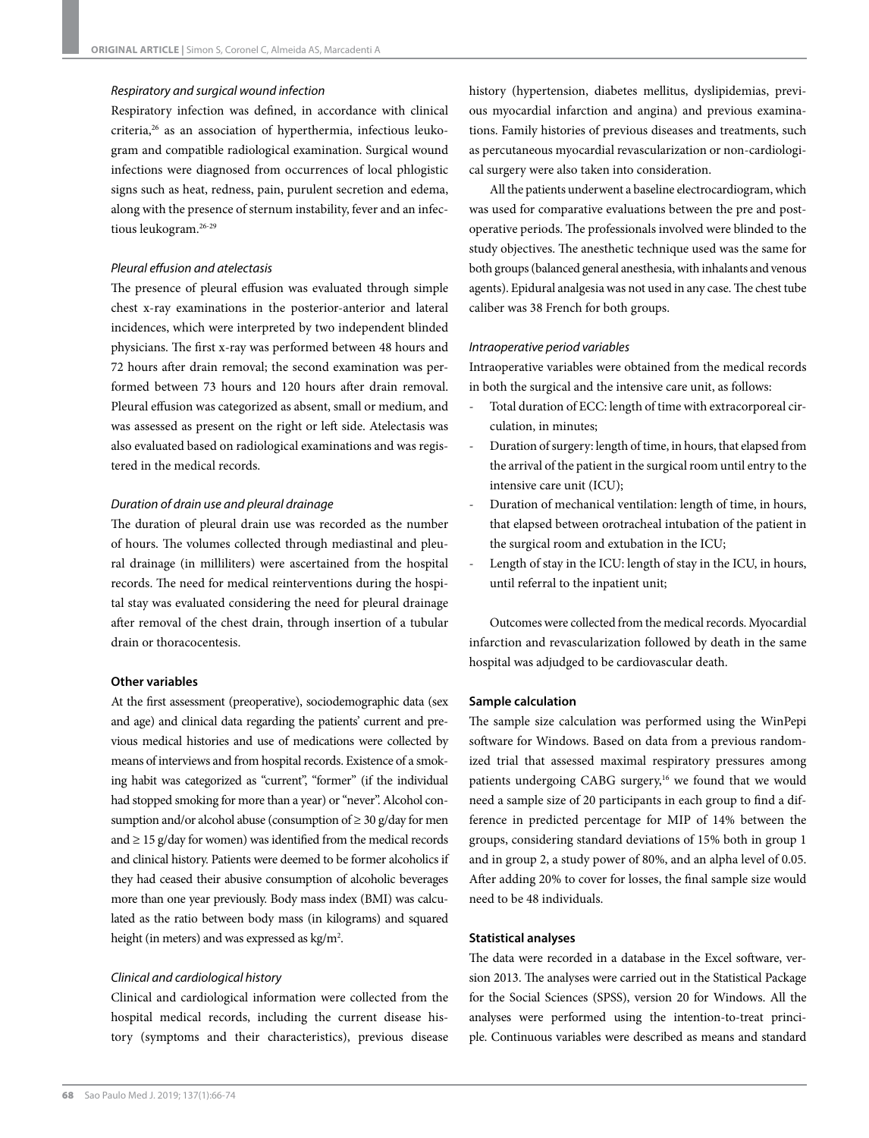## *Respiratory and surgical wound infection*

Respiratory infection was defined, in accordance with clinical criteria,<sup>26</sup> as an association of hyperthermia, infectious leukogram and compatible radiological examination. Surgical wound infections were diagnosed from occurrences of local phlogistic signs such as heat, redness, pain, purulent secretion and edema, along with the presence of sternum instability, fever and an infectious leukogram.26-29

#### *Pleural effusion and atelectasis*

The presence of pleural effusion was evaluated through simple chest x-ray examinations in the posterior-anterior and lateral incidences, which were interpreted by two independent blinded physicians. The first x-ray was performed between 48 hours and 72 hours after drain removal; the second examination was performed between 73 hours and 120 hours after drain removal. Pleural effusion was categorized as absent, small or medium, and was assessed as present on the right or left side. Atelectasis was also evaluated based on radiological examinations and was registered in the medical records.

#### *Duration of drain use and pleural drainage*

The duration of pleural drain use was recorded as the number of hours. The volumes collected through mediastinal and pleural drainage (in milliliters) were ascertained from the hospital records. The need for medical reinterventions during the hospital stay was evaluated considering the need for pleural drainage after removal of the chest drain, through insertion of a tubular drain or thoracocentesis.

# **Other variables**

At the first assessment (preoperative), sociodemographic data (sex and age) and clinical data regarding the patients' current and previous medical histories and use of medications were collected by means of interviews and from hospital records. Existence of a smoking habit was categorized as "current", "former" (if the individual had stopped smoking for more than a year) or "never". Alcohol consumption and/or alcohol abuse (consumption of  $\geq 30$  g/day for men and  $\geq$  15 g/day for women) was identified from the medical records and clinical history. Patients were deemed to be former alcoholics if they had ceased their abusive consumption of alcoholic beverages more than one year previously. Body mass index (BMI) was calculated as the ratio between body mass (in kilograms) and squared height (in meters) and was expressed as  $kg/m<sup>2</sup>$ .

#### *Clinical and cardiological history*

Clinical and cardiological information were collected from the hospital medical records, including the current disease history (symptoms and their characteristics), previous disease

history (hypertension, diabetes mellitus, dyslipidemias, previous myocardial infarction and angina) and previous examinations. Family histories of previous diseases and treatments, such as percutaneous myocardial revascularization or non-cardiological surgery were also taken into consideration.

All the patients underwent a baseline electrocardiogram, which was used for comparative evaluations between the pre and postoperative periods. The professionals involved were blinded to the study objectives. The anesthetic technique used was the same for both groups (balanced general anesthesia, with inhalants and venous agents). Epidural analgesia was not used in any case. The chest tube caliber was 38 French for both groups.

#### *Intraoperative period variables*

Intraoperative variables were obtained from the medical records in both the surgical and the intensive care unit, as follows:

- Total duration of ECC: length of time with extracorporeal circulation, in minutes;
- Duration of surgery: length of time, in hours, that elapsed from the arrival of the patient in the surgical room until entry to the intensive care unit (ICU);
- Duration of mechanical ventilation: length of time, in hours, that elapsed between orotracheal intubation of the patient in the surgical room and extubation in the ICU;
- Length of stay in the ICU: length of stay in the ICU, in hours, until referral to the inpatient unit;

Outcomes were collected from the medical records. Myocardial infarction and revascularization followed by death in the same hospital was adjudged to be cardiovascular death.

#### **Sample calculation**

The sample size calculation was performed using the WinPepi software for Windows. Based on data from a previous randomized trial that assessed maximal respiratory pressures among patients undergoing CABG surgery,<sup>16</sup> we found that we would need a sample size of 20 participants in each group to find a difference in predicted percentage for MIP of 14% between the groups, considering standard deviations of 15% both in group 1 and in group 2, a study power of 80%, and an alpha level of 0.05. After adding 20% to cover for losses, the final sample size would need to be 48 individuals.

#### **Statistical analyses**

The data were recorded in a database in the Excel software, version 2013. The analyses were carried out in the Statistical Package for the Social Sciences (SPSS), version 20 for Windows. All the analyses were performed using the intention-to-treat principle. Continuous variables were described as means and standard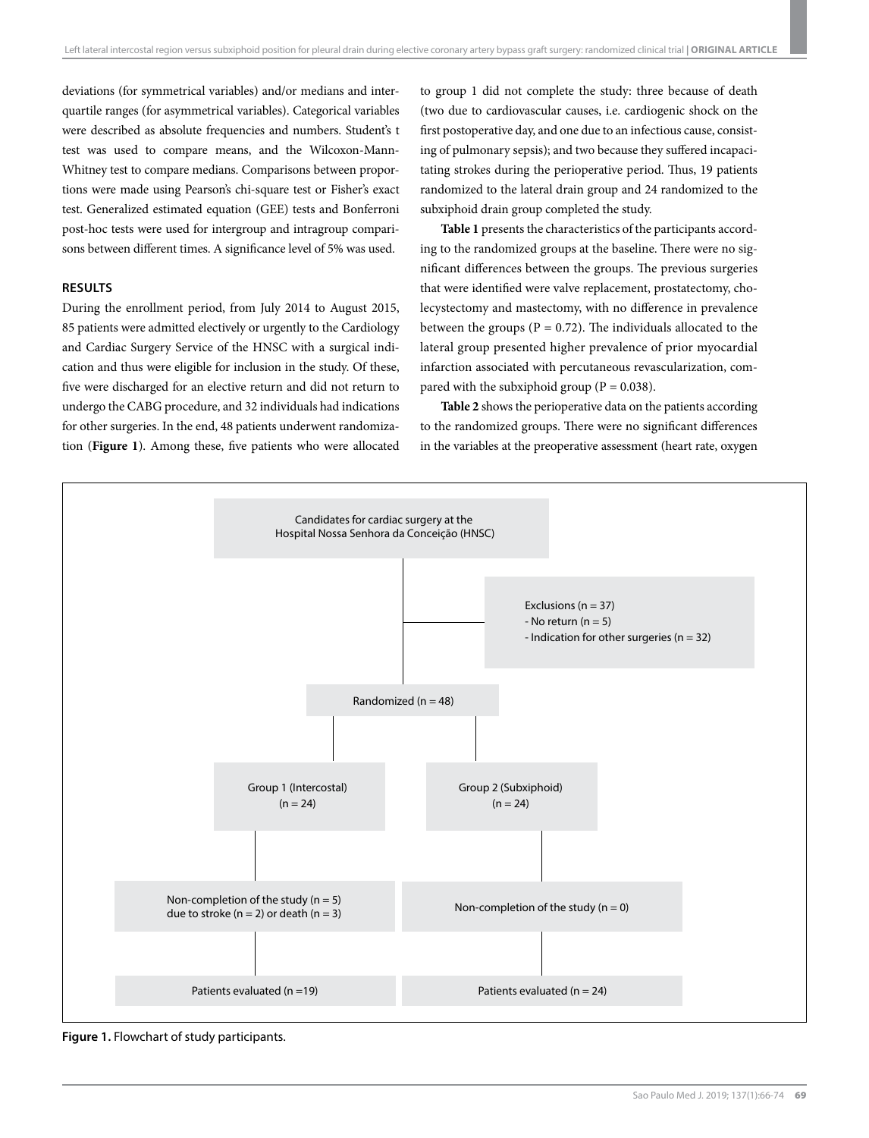deviations (for symmetrical variables) and/or medians and interquartile ranges (for asymmetrical variables). Categorical variables were described as absolute frequencies and numbers. Student's t test was used to compare means, and the Wilcoxon-Mann-Whitney test to compare medians. Comparisons between proportions were made using Pearson's chi-square test or Fisher's exact test. Generalized estimated equation (GEE) tests and Bonferroni post-hoc tests were used for intergroup and intragroup comparisons between different times. A significance level of 5% was used.

#### **RESULTS**

During the enrollment period, from July 2014 to August 2015, 85 patients were admitted electively or urgently to the Cardiology and Cardiac Surgery Service of the HNSC with a surgical indication and thus were eligible for inclusion in the study. Of these, five were discharged for an elective return and did not return to undergo the CABG procedure, and 32 individuals had indications for other surgeries. In the end, 48 patients underwent randomization (**Figure 1**). Among these, five patients who were allocated to group 1 did not complete the study: three because of death (two due to cardiovascular causes, i.e. cardiogenic shock on the first postoperative day, and one due to an infectious cause, consisting of pulmonary sepsis); and two because they suffered incapacitating strokes during the perioperative period. Thus, 19 patients randomized to the lateral drain group and 24 randomized to the subxiphoid drain group completed the study.

**Table 1** presents the characteristics of the participants according to the randomized groups at the baseline. There were no significant differences between the groups. The previous surgeries that were identified were valve replacement, prostatectomy, cholecystectomy and mastectomy, with no difference in prevalence between the groups ( $P = 0.72$ ). The individuals allocated to the lateral group presented higher prevalence of prior myocardial infarction associated with percutaneous revascularization, compared with the subxiphoid group ( $P = 0.038$ ).

**Table 2** shows the perioperative data on the patients according to the randomized groups. There were no significant differences in the variables at the preoperative assessment (heart rate, oxygen



**Figure 1.** Flowchart of study participants.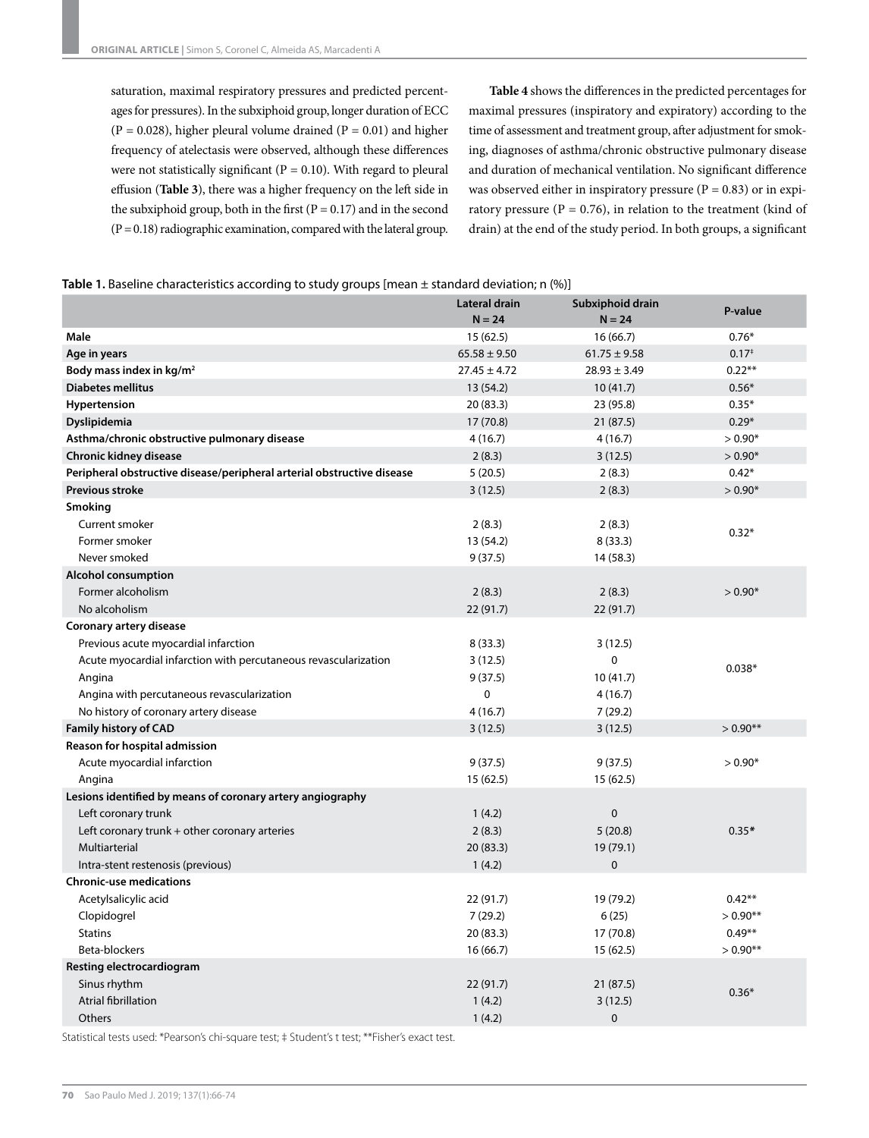saturation, maximal respiratory pressures and predicted percentages for pressures). In the subxiphoid group, longer duration of ECC  $(P = 0.028)$ , higher pleural volume drained  $(P = 0.01)$  and higher frequency of atelectasis were observed, although these differences were not statistically significant ( $P = 0.10$ ). With regard to pleural effusion (**Table 3**), there was a higher frequency on the left side in the subxiphoid group, both in the first ( $P = 0.17$ ) and in the second  $(P = 0.18)$  radiographic examination, compared with the lateral group.

**Table 4** shows the differences in the predicted percentages for maximal pressures (inspiratory and expiratory) according to the time of assessment and treatment group, after adjustment for smoking, diagnoses of asthma/chronic obstructive pulmonary disease and duration of mechanical ventilation. No significant difference was observed either in inspiratory pressure ( $P = 0.83$ ) or in expiratory pressure ( $P = 0.76$ ), in relation to the treatment (kind of drain) at the end of the study period. In both groups, a significant

|  |  | <b>Table 1.</b> Baseline characteristics according to study groups [mean $\pm$ standard deviation; n (%)] |
|--|--|-----------------------------------------------------------------------------------------------------------|
|--|--|-----------------------------------------------------------------------------------------------------------|

|                                                                        | Lateral drain<br>$N = 24$ | Subxiphoid drain<br>$N = 24$ | P-value    |
|------------------------------------------------------------------------|---------------------------|------------------------------|------------|
| Male                                                                   | 15(62.5)                  | 16(66.7)                     | $0.76*$    |
| Age in years                                                           | $65.58 \pm 9.50$          | $61.75 \pm 9.58$             | $0.17*$    |
| Body mass index in kg/m <sup>2</sup>                                   | $27.45 \pm 4.72$          | $28.93 \pm 3.49$             | $0.22**$   |
| <b>Diabetes mellitus</b>                                               | 13 (54.2)                 | 10(41.7)                     | $0.56*$    |
| Hypertension                                                           | 20 (83.3)                 | 23 (95.8)                    | $0.35*$    |
| Dyslipidemia                                                           | 17(70.8)                  | 21 (87.5)                    | $0.29*$    |
| Asthma/chronic obstructive pulmonary disease                           | 4(16.7)                   | 4(16.7)                      | $> 0.90*$  |
| Chronic kidney disease                                                 | 2(8.3)                    | 3(12.5)                      | $> 0.90*$  |
| Peripheral obstructive disease/peripheral arterial obstructive disease | 5(20.5)                   | 2(8.3)                       | $0.42*$    |
| <b>Previous stroke</b>                                                 | 3(12.5)                   | 2(8.3)                       | $> 0.90*$  |
| Smoking                                                                |                           |                              |            |
| Current smoker                                                         | 2(8.3)                    | 2(8.3)                       | $0.32*$    |
| Former smoker                                                          | 13 (54.2)                 | 8(33.3)                      |            |
| Never smoked                                                           | 9(37.5)                   | 14 (58.3)                    |            |
| <b>Alcohol consumption</b>                                             |                           |                              |            |
| Former alcoholism                                                      | 2(8.3)                    | 2(8.3)                       | $> 0.90*$  |
| No alcoholism                                                          | 22(91.7)                  | 22 (91.7)                    |            |
| Coronary artery disease                                                |                           |                              |            |
| Previous acute myocardial infarction                                   | 8(33.3)                   | 3(12.5)                      |            |
| Acute myocardial infarction with percutaneous revascularization        | 3(12.5)                   | 0                            | $0.038*$   |
| Angina                                                                 | 9(37.5)                   | 10(41.7)                     |            |
| Angina with percutaneous revascularization                             | 0                         | 4(16.7)                      |            |
| No history of coronary artery disease                                  | 4(16.7)                   | 7(29.2)                      |            |
| <b>Family history of CAD</b>                                           | 3(12.5)                   | 3(12.5)                      | $> 0.90**$ |
| Reason for hospital admission                                          |                           |                              |            |
| Acute myocardial infarction                                            | 9(37.5)                   | 9(37.5)                      | $> 0.90*$  |
| Angina                                                                 | 15 (62.5)                 | 15 (62.5)                    |            |
| Lesions identified by means of coronary artery angiography             |                           |                              |            |
| Left coronary trunk                                                    | 1(4.2)                    | $\pmb{0}$                    |            |
| Left coronary trunk $+$ other coronary arteries                        | 2(8.3)                    | 5(20.8)                      | $0.35*$    |
| Multiarterial                                                          | 20(83.3)                  | 19 (79.1)                    |            |
| Intra-stent restenosis (previous)                                      | 1(4.2)                    | $\pmb{0}$                    |            |
| <b>Chronic-use medications</b>                                         |                           |                              |            |
| Acetylsalicylic acid                                                   | 22 (91.7)                 | 19 (79.2)                    | $0.42**$   |
| Clopidogrel                                                            | 7(29.2)                   | 6(25)                        | $>0.90**$  |
| <b>Statins</b>                                                         | 20 (83.3)                 | 17 (70.8)                    | $0.49**$   |
| Beta-blockers                                                          | 16(66.7)                  | 15 (62.5)                    | $> 0.90**$ |
| Resting electrocardiogram                                              |                           |                              |            |
| Sinus rhythm                                                           | 22(91.7)                  | 21(87.5)                     | $0.36*$    |
| Atrial fibrillation                                                    | 1(4.2)                    | 3(12.5)                      |            |
| Others                                                                 | 1(4.2)                    | $\mathbf 0$                  |            |

Statistical tests used: \*Pearson's chi-square test; ‡ Student's t test; \*\*Fisher's exact test.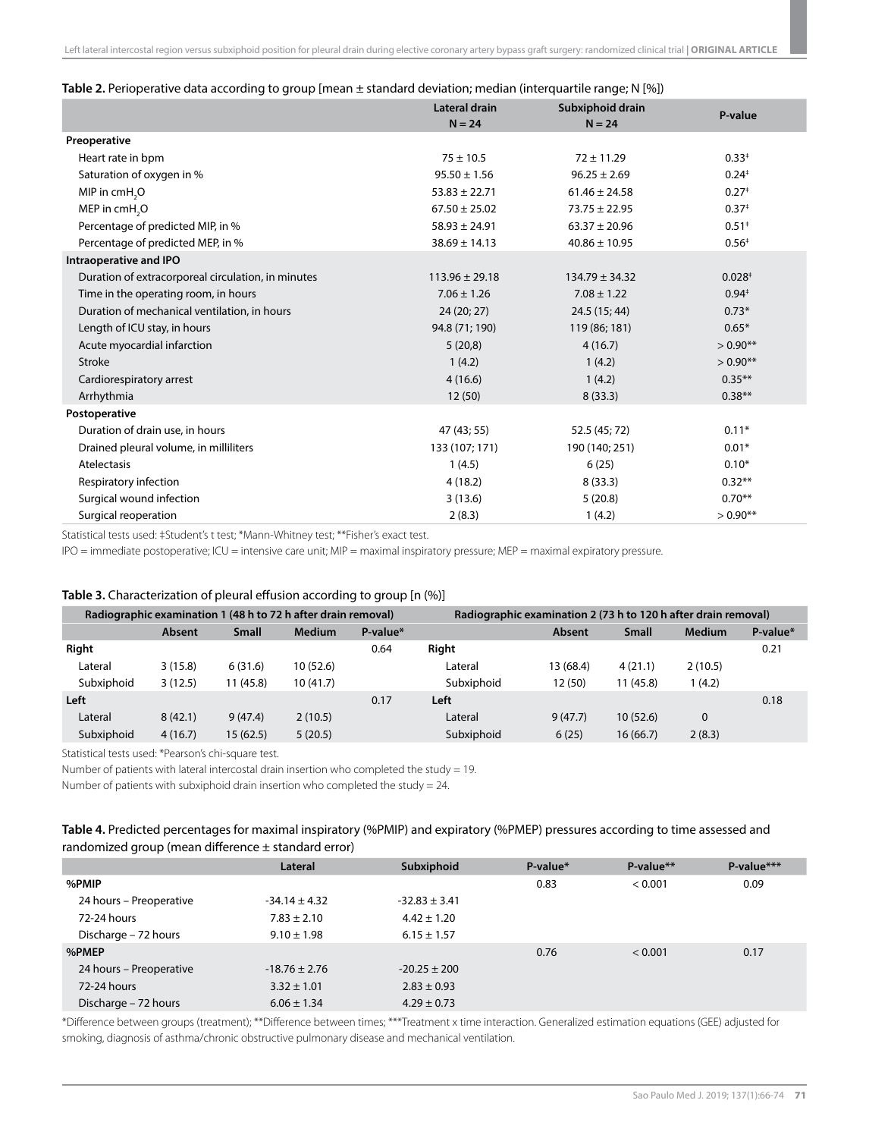#### **Table 2.** Perioperative data according to group [mean ± standard deviation; median (interquartile range; N [%])

|                                                    | <b>Lateral drain</b><br>$N = 24$ | Subxiphoid drain<br>$N = 24$ | P-value             |
|----------------------------------------------------|----------------------------------|------------------------------|---------------------|
| Preoperative                                       |                                  |                              |                     |
| Heart rate in bpm                                  | $75 \pm 10.5$                    | $72 \pm 11.29$               | $0.33*$             |
| Saturation of oxygen in %                          | $95.50 \pm 1.56$                 | $96.25 \pm 2.69$             | $0.24*$             |
| MIP in cmH <sub>2</sub> O                          | $53.83 \pm 22.71$                | $61.46 \pm 24.58$            | $0.27$ <sup>+</sup> |
| MEP in cmH <sub>2</sub> O                          | $67.50 \pm 25.02$                | $73.75 \pm 22.95$            | $0.37+$             |
| Percentage of predicted MIP, in %                  | $58.93 \pm 24.91$                | $63.37 \pm 20.96$            | $0.51*$             |
| Percentage of predicted MEP, in %                  | $38.69 \pm 14.13$                | $40.86 \pm 10.95$            | $0.56*$             |
| Intraoperative and IPO                             |                                  |                              |                     |
| Duration of extracorporeal circulation, in minutes | $113.96 \pm 29.18$               | $134.79 \pm 34.32$           | 0.028 <sup>‡</sup>  |
| Time in the operating room, in hours               | $7.06 \pm 1.26$                  | $7.08 \pm 1.22$              | $0.94*$             |
| Duration of mechanical ventilation, in hours       | 24 (20; 27)                      | 24.5 (15; 44)                | $0.73*$             |
| Length of ICU stay, in hours                       | 94.8 (71; 190)                   | 119 (86; 181)                | $0.65*$             |
| Acute myocardial infarction                        | 5(20,8)                          | 4(16.7)                      | $> 0.90**$          |
| <b>Stroke</b>                                      | 1(4.2)                           | 1(4.2)                       | $> 0.90**$          |
| Cardiorespiratory arrest                           | 4(16.6)                          | 1(4.2)                       | $0.35***$           |
| Arrhythmia                                         | 12(50)                           | 8(33.3)                      | $0.38**$            |
| Postoperative                                      |                                  |                              |                     |
| Duration of drain use, in hours                    | 47 (43; 55)                      | 52.5 (45; 72)                | $0.11*$             |
| Drained pleural volume, in milliliters             | 133 (107; 171)                   | 190 (140; 251)               | $0.01*$             |
| Atelectasis                                        | 1(4.5)                           | 6(25)                        | $0.10*$             |
| Respiratory infection                              | 4(18.2)                          | 8(33.3)                      | $0.32**$            |
| Surgical wound infection                           | 3(13.6)                          | 5(20.8)                      | $0.70**$            |
| Surgical reoperation                               | 2(8.3)                           | 1(4.2)                       | $> 0.90**$          |

Statistical tests used: ‡Student's t test; \*Mann-Whitney test; \*\*Fisher's exact test.

IPO = immediate postoperative; ICU = intensive care unit; MIP = maximal inspiratory pressure; MEP = maximal expiratory pressure.

#### **Table 3.** Characterization of pleural effusion according to group [n (%)]

| Radiographic examination 1 (48 h to 72 h after drain removal) |         |              | Radiographic examination 2 (73 h to 120 h after drain removal) |          |            |           |              |               |          |
|---------------------------------------------------------------|---------|--------------|----------------------------------------------------------------|----------|------------|-----------|--------------|---------------|----------|
|                                                               | Absent  | <b>Small</b> | <b>Medium</b>                                                  | P-value* |            | Absent    | <b>Small</b> | <b>Medium</b> | P-value* |
| Right                                                         |         |              |                                                                | 0.64     | Right      |           |              |               | 0.21     |
| Lateral                                                       | 3(15.8) | 6(31.6)      | 10(52.6)                                                       |          | Lateral    | 13 (68.4) | 4(21.1)      | 2(10.5)       |          |
| Subxiphoid                                                    | 3(12.5) | 11 (45.8)    | 10(41.7)                                                       |          | Subxiphoid | 12 (50)   | 11(45.8)     | (4.2)         |          |
| Left                                                          |         |              |                                                                | 0.17     | Left       |           |              |               | 0.18     |
| Lateral                                                       | 8(42.1) | 9(47.4)      | 2(10.5)                                                        |          | Lateral    | 9(47.7)   | 10(52.6)     | $\mathbf 0$   |          |
| Subxiphoid                                                    | 4(16.7) | 15(62.5)     | 5(20.5)                                                        |          | Subxiphoid | 6(25)     | 16(66.7)     | 2(8.3)        |          |

Statistical tests used: \*Pearson's chi-square test.

Number of patients with lateral intercostal drain insertion who completed the study = 19.

Number of patients with subxiphoid drain insertion who completed the study = 24.

# **Table 4.** Predicted percentages for maximal inspiratory (%PMIP) and expiratory (%PMEP) pressures according to time assessed and randomized group (mean difference ± standard error)

|                         | Lateral           | Subxiphoid        | P-value* | $P-value**$ | P-value*** |
|-------------------------|-------------------|-------------------|----------|-------------|------------|
| %PMIP                   |                   |                   | 0.83     | < 0.001     | 0.09       |
| 24 hours – Preoperative | $-34.14 \pm 4.32$ | $-32.83 \pm 3.41$ |          |             |            |
| 72-24 hours             | $7.83 \pm 2.10$   | $4.42 \pm 1.20$   |          |             |            |
| Discharge - 72 hours    | $9.10 \pm 1.98$   | $6.15 \pm 1.57$   |          |             |            |
| %PMEP                   |                   |                   | 0.76     | < 0.001     | 0.17       |
| 24 hours – Preoperative | $-18.76 \pm 2.76$ | $-20.25 \pm 200$  |          |             |            |
| 72-24 hours             | $3.32 \pm 1.01$   | $2.83 \pm 0.93$   |          |             |            |
| Discharge - 72 hours    | $6.06 \pm 1.34$   | $4.29 \pm 0.73$   |          |             |            |

\*Difference between groups (treatment); \*\*Difference between times; \*\*\*Treatment x time interaction. Generalized estimation equations (GEE) adjusted for smoking, diagnosis of asthma/chronic obstructive pulmonary disease and mechanical ventilation.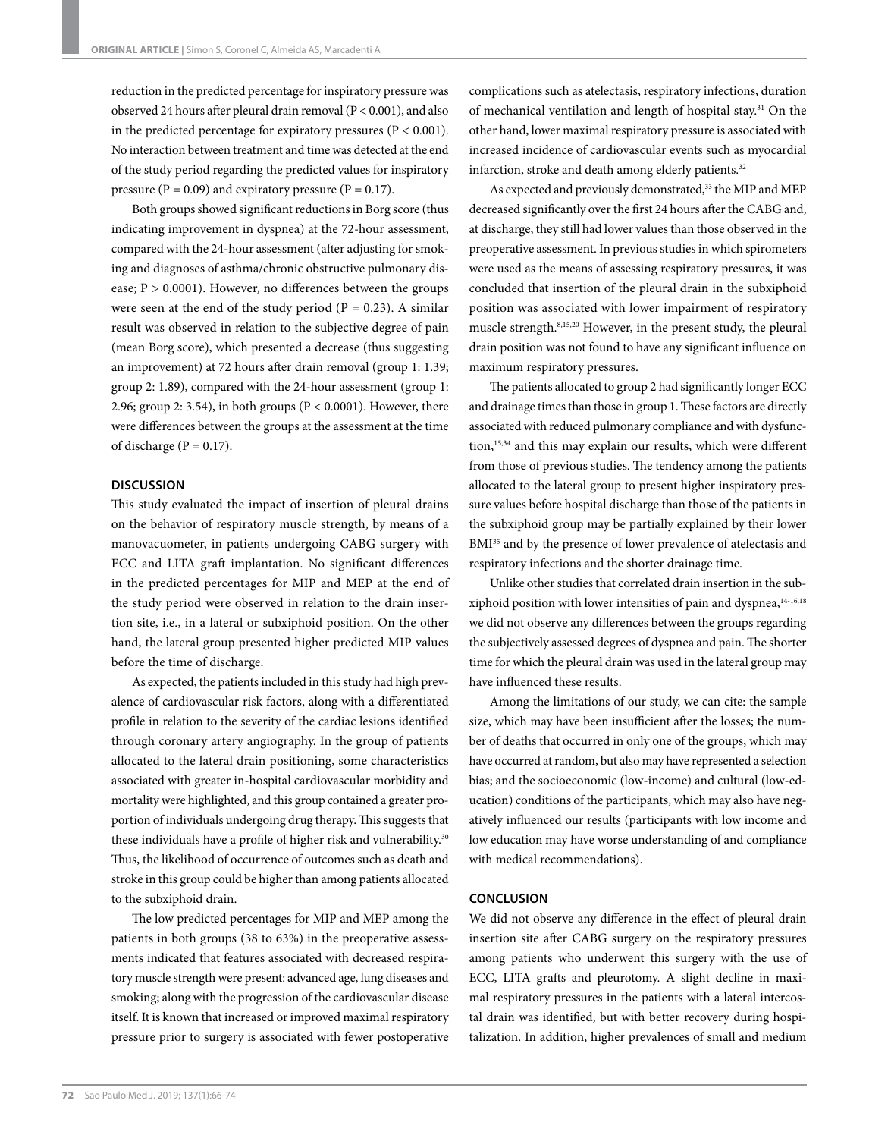reduction in the predicted percentage for inspiratory pressure was observed 24 hours after pleural drain removal (P < 0.001), and also in the predicted percentage for expiratory pressures ( $P < 0.001$ ). No interaction between treatment and time was detected at the end of the study period regarding the predicted values for inspiratory pressure ( $P = 0.09$ ) and expiratory pressure ( $P = 0.17$ ).

Both groups showed significant reductions in Borg score (thus indicating improvement in dyspnea) at the 72-hour assessment, compared with the 24-hour assessment (after adjusting for smoking and diagnoses of asthma/chronic obstructive pulmonary disease;  $P > 0.0001$ ). However, no differences between the groups were seen at the end of the study period ( $P = 0.23$ ). A similar result was observed in relation to the subjective degree of pain (mean Borg score), which presented a decrease (thus suggesting an improvement) at 72 hours after drain removal (group 1: 1.39; group 2: 1.89), compared with the 24-hour assessment (group 1: 2.96; group 2: 3.54), in both groups ( $P < 0.0001$ ). However, there were differences between the groups at the assessment at the time of discharge ( $P = 0.17$ ).

## **DISCUSSION**

This study evaluated the impact of insertion of pleural drains on the behavior of respiratory muscle strength, by means of a manovacuometer, in patients undergoing CABG surgery with ECC and LITA graft implantation. No significant differences in the predicted percentages for MIP and MEP at the end of the study period were observed in relation to the drain insertion site, i.e., in a lateral or subxiphoid position. On the other hand, the lateral group presented higher predicted MIP values before the time of discharge.

As expected, the patients included in this study had high prevalence of cardiovascular risk factors, along with a differentiated profile in relation to the severity of the cardiac lesions identified through coronary artery angiography. In the group of patients allocated to the lateral drain positioning, some characteristics associated with greater in-hospital cardiovascular morbidity and mortality were highlighted, and this group contained a greater proportion of individuals undergoing drug therapy. This suggests that these individuals have a profile of higher risk and vulnerability.<sup>30</sup> Thus, the likelihood of occurrence of outcomes such as death and stroke in this group could be higher than among patients allocated to the subxiphoid drain.

The low predicted percentages for MIP and MEP among the patients in both groups (38 to 63%) in the preoperative assessments indicated that features associated with decreased respiratory muscle strength were present: advanced age, lung diseases and smoking; along with the progression of the cardiovascular disease itself. It is known that increased or improved maximal respiratory pressure prior to surgery is associated with fewer postoperative complications such as atelectasis, respiratory infections, duration of mechanical ventilation and length of hospital stay.<sup>31</sup> On the other hand, lower maximal respiratory pressure is associated with increased incidence of cardiovascular events such as myocardial infarction, stroke and death among elderly patients.<sup>32</sup>

As expected and previously demonstrated,<sup>33</sup> the MIP and MEP decreased significantly over the first 24 hours after the CABG and, at discharge, they still had lower values than those observed in the preoperative assessment. In previous studies in which spirometers were used as the means of assessing respiratory pressures, it was concluded that insertion of the pleural drain in the subxiphoid position was associated with lower impairment of respiratory muscle strength.8,15,20 However, in the present study, the pleural drain position was not found to have any significant influence on maximum respiratory pressures.

The patients allocated to group 2 had significantly longer ECC and drainage times than those in group 1. These factors are directly associated with reduced pulmonary compliance and with dysfunction,15,34 and this may explain our results, which were different from those of previous studies. The tendency among the patients allocated to the lateral group to present higher inspiratory pressure values before hospital discharge than those of the patients in the subxiphoid group may be partially explained by their lower BMI<sup>35</sup> and by the presence of lower prevalence of atelectasis and respiratory infections and the shorter drainage time.

Unlike other studies that correlated drain insertion in the subxiphoid position with lower intensities of pain and dyspnea,14-16,18 we did not observe any differences between the groups regarding the subjectively assessed degrees of dyspnea and pain. The shorter time for which the pleural drain was used in the lateral group may have influenced these results.

Among the limitations of our study, we can cite: the sample size, which may have been insufficient after the losses; the number of deaths that occurred in only one of the groups, which may have occurred at random, but also may have represented a selection bias; and the socioeconomic (low-income) and cultural (low-education) conditions of the participants, which may also have negatively influenced our results (participants with low income and low education may have worse understanding of and compliance with medical recommendations).

# **CONCLUSION**

We did not observe any difference in the effect of pleural drain insertion site after CABG surgery on the respiratory pressures among patients who underwent this surgery with the use of ECC, LITA grafts and pleurotomy. A slight decline in maximal respiratory pressures in the patients with a lateral intercostal drain was identified, but with better recovery during hospitalization. In addition, higher prevalences of small and medium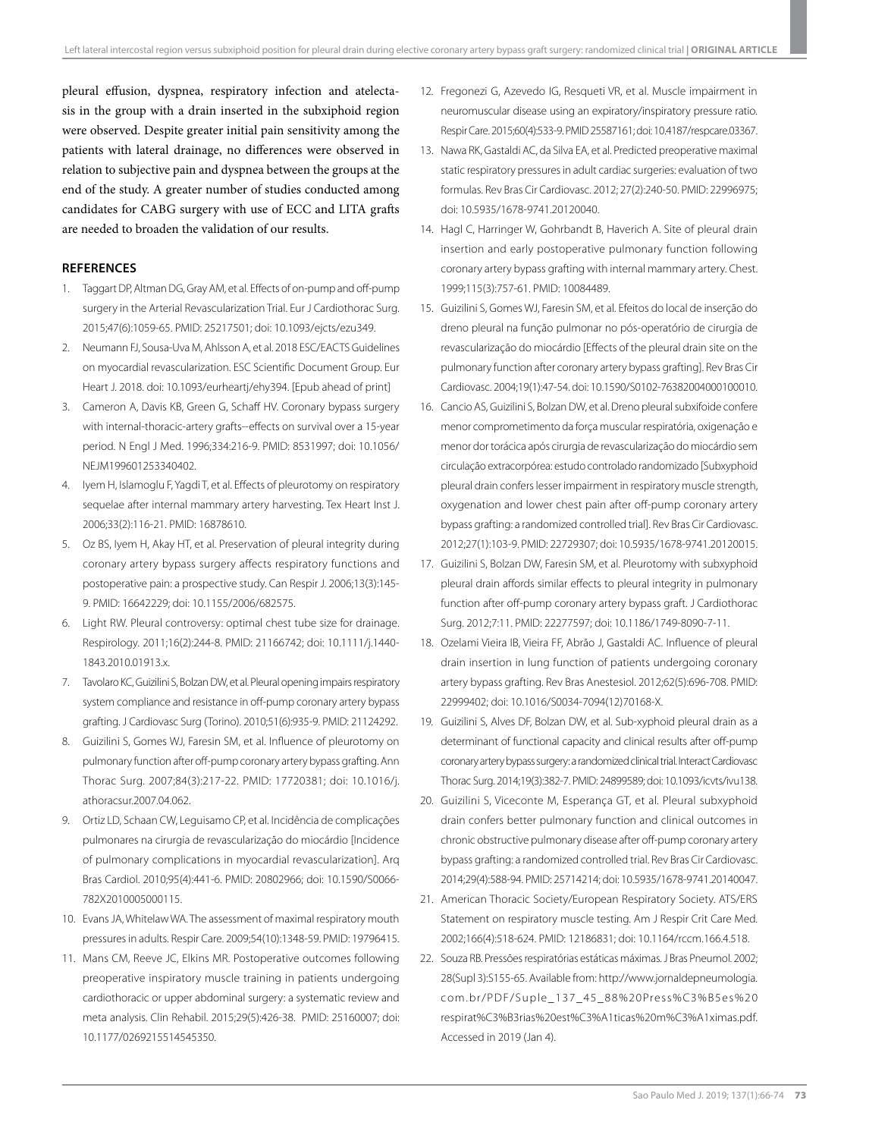pleural effusion, dyspnea, respiratory infection and atelectasis in the group with a drain inserted in the subxiphoid region were observed. Despite greater initial pain sensitivity among the patients with lateral drainage, no differences were observed in relation to subjective pain and dyspnea between the groups at the end of the study. A greater number of studies conducted among candidates for CABG surgery with use of ECC and LITA grafts are needed to broaden the validation of our results.

# **REFERENCES**

- 1. Taggart DP, Altman DG, Gray AM, et al. Effects of on-pump and off-pump surgery in the Arterial Revascularization Trial. Eur J Cardiothorac Surg. 2015;47(6):1059-65. PMID: 25217501; doi: 10.1093/ejcts/ezu349.
- 2. Neumann FJ, Sousa-Uva M, Ahlsson A, et al. 2018 ESC/EACTS Guidelines on myocardial revascularization. ESC Scientific Document Group. Eur Heart J. 2018. doi: 10.1093/eurheartj/ehy394. [Epub ahead of print]
- 3. Cameron A, Davis KB, Green G, Schaff HV. Coronary bypass surgery with internal-thoracic-artery grafts--effects on survival over a 15-year period. N Engl J Med. 1996;334:216-9. PMID: 8531997; doi: 10.1056/ NEJM199601253340402.
- 4. Iyem H, Islamoglu F, Yagdi T, et al. Effects of pleurotomy on respiratory sequelae after internal mammary artery harvesting. Tex Heart Inst J. 2006;33(2):116-21. PMID: 16878610.
- 5. Oz BS, Iyem H, Akay HT, et al. Preservation of pleural integrity during coronary artery bypass surgery affects respiratory functions and postoperative pain: a prospective study. Can Respir J. 2006;13(3):145- 9. PMID: 16642229; doi: 10.1155/2006/682575.
- 6. Light RW. Pleural controversy: optimal chest tube size for drainage. Respirology. 2011;16(2):244-8. PMID: 21166742; doi: 10.1111/j.1440- 1843.2010.01913.x.
- 7. Tavolaro KC, Guizilini S, Bolzan DW, et al. Pleural opening impairs respiratory system compliance and resistance in off-pump coronary artery bypass grafting. J Cardiovasc Surg (Torino). 2010;51(6):935-9. PMID: 21124292.
- 8. Guizilini S, Gomes WJ, Faresin SM, et al. Influence of pleurotomy on pulmonary function after off-pump coronary artery bypass grafting. Ann Thorac Surg. 2007;84(3):217-22. PMID: 17720381; doi: 10.1016/j. athoracsur.2007.04.062.
- 9. Ortiz LD, Schaan CW, Leguisamo CP, et al. Incidência de complicações pulmonares na cirurgia de revascularização do miocárdio [Incidence of pulmonary complications in myocardial revascularization]. Arq Bras Cardiol. 2010;95(4):441-6. PMID: 20802966; doi: 10.1590/S0066- 782X2010005000115.
- 10. Evans JA, Whitelaw WA. The assessment of maximal respiratory mouth pressures in adults. Respir Care. 2009;54(10):1348-59. PMID: 19796415.
- 11. Mans CM, Reeve JC, Elkins MR. Postoperative outcomes following preoperative inspiratory muscle training in patients undergoing cardiothoracic or upper abdominal surgery: a systematic review and meta analysis. Clin Rehabil. 2015;29(5):426-38. PMID: 25160007; doi: 10.1177/0269215514545350.
- 12. Fregonezi G, Azevedo IG, Resqueti VR, et al. Muscle impairment in neuromuscular disease using an expiratory/inspiratory pressure ratio. Respir Care. 2015;60(4):533-9. PMID 25587161; doi: 10.4187/respcare.03367.
- 13. Nawa RK, Gastaldi AC, da Silva EA, et al. Predicted preoperative maximal static respiratory pressures in adult cardiac surgeries: evaluation of two formulas. Rev Bras Cir Cardiovasc. 2012; 27(2):240-50. PMID: 22996975; doi: 10.5935/1678-9741.20120040.
- 14. Hagl C, Harringer W, Gohrbandt B, Haverich A. Site of pleural drain insertion and early postoperative pulmonary function following coronary artery bypass grafting with internal mammary artery. Chest. 1999;115(3):757-61. PMID: 10084489.
- 15. Guizilini S, Gomes WJ, Faresin SM, et al. Efeitos do local de inserção do dreno pleural na função pulmonar no pós-operatório de cirurgia de revascularização do miocárdio [Effects of the pleural drain site on the pulmonary function after coronary artery bypass grafting]. Rev Bras Cir Cardiovasc. 2004;19(1):47-54. doi: 10.1590/S0102-76382004000100010.
- 16. Cancio AS, Guizilini S, Bolzan DW, et al. Dreno pleural subxifoide confere menor comprometimento da força muscular respiratória, oxigenação e menor dor torácica após cirurgia de revascularização do miocárdio sem circulação extracorpórea: estudo controlado randomizado [Subxyphoid pleural drain confers lesser impairment in respiratory muscle strength, oxygenation and lower chest pain after off-pump coronary artery bypass grafting: a randomized controlled trial]. Rev Bras Cir Cardiovasc. 2012;27(1):103-9. PMID: 22729307; doi: 10.5935/1678-9741.20120015.
- 17. Guizilini S, Bolzan DW, Faresin SM, et al. Pleurotomy with subxyphoid pleural drain affords similar effects to pleural integrity in pulmonary function after off-pump coronary artery bypass graft. J Cardiothorac Surg. 2012;7:11. PMID: 22277597; doi: 10.1186/1749-8090-7-11.
- 18. Ozelami Vieira IB, Vieira FF, Abrão J, Gastaldi AC. Influence of pleural drain insertion in lung function of patients undergoing coronary artery bypass grafting. Rev Bras Anestesiol. 2012;62(5):696-708. PMID: 22999402; doi: 10.1016/S0034-7094(12)70168-X.
- 19. Guizilini S, Alves DF, Bolzan DW, et al. Sub-xyphoid pleural drain as a determinant of functional capacity and clinical results after off-pump coronary artery bypass surgery: a randomized clinical trial. Interact Cardiovasc Thorac Surg. 2014;19(3):382-7. PMID: 24899589; doi: 10.1093/icvts/ivu138.
- 20. Guizilini S, Viceconte M, Esperança GT, et al. Pleural subxyphoid drain confers better pulmonary function and clinical outcomes in chronic obstructive pulmonary disease after off-pump coronary artery bypass grafting: a randomized controlled trial. Rev Bras Cir Cardiovasc. 2014;29(4):588-94. PMID: 25714214; doi: 10.5935/1678-9741.20140047.
- 21. American Thoracic Society/European Respiratory Society. ATS/ERS Statement on respiratory muscle testing. Am J Respir Crit Care Med. 2002;166(4):518-624. PMID: 12186831; doi: 10.1164/rccm.166.4.518.
- 22. Souza RB. Pressões respiratórias estáticas máximas. J Bras Pneumol. 2002; 28(Supl 3):S155-65. Available from: http://www.jornaldepneumologia. com.br/PDF/Suple\_137\_45\_88%20Press%C3%B5es%20 respirat%C3%B3rias%20est%C3%A1ticas%20m%C3%A1ximas.pdf. Accessed in 2019 (Jan 4).